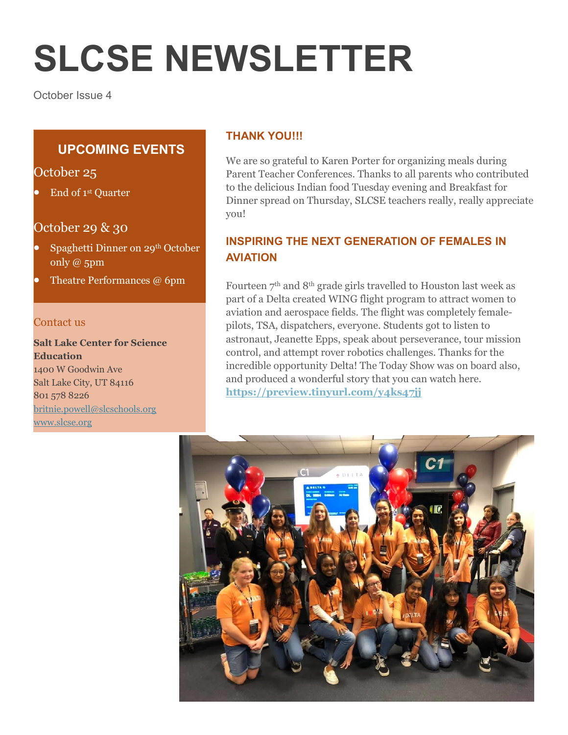# **SLCSE NEWSLETTER**

October Issue 4

# **UPCOMING EVENTS**

October 25

End of 1st Quarter

#### October 29 & 30

- Spaghetti Dinner on 29th October only @ 5pm
- Theatre Performances @ 6pm

#### Contact us

**Salt Lake Center for Science Education** 1400 W Goodwin Ave Salt Lake City, UT 84116 801 578 8226 [britnie.powell@slcschools.org](mailto:britnie.powell@slcschools.org)

[www.slcse.org](http://www.slcse.org/)

#### **THANK YOU!!!**

We are so grateful to Karen Porter for organizing meals during Parent Teacher Conferences. Thanks to all parents who contributed to the delicious Indian food Tuesday evening and Breakfast for Dinner spread on Thursday, SLCSE teachers really, really appreciate you!

# **INSPIRING THE NEXT GENERATION OF FEMALES IN AVIATION**

Fourteen 7<sup>th</sup> and 8<sup>th</sup> grade girls travelled to Houston last week as part of a Delta created WING flight program to attract women to aviation and aerospace fields. The flight was completely femalepilots, TSA, dispatchers, everyone. Students got to listen to astronaut, Jeanette Epps, speak about perseverance, tour mission control, and attempt rover robotics challenges. Thanks for the incredible opportunity Delta! The Today Show was on board also, and produced a wonderful story that you can watch here. **<https://preview.tinyurl.com/y4ks47jj>**

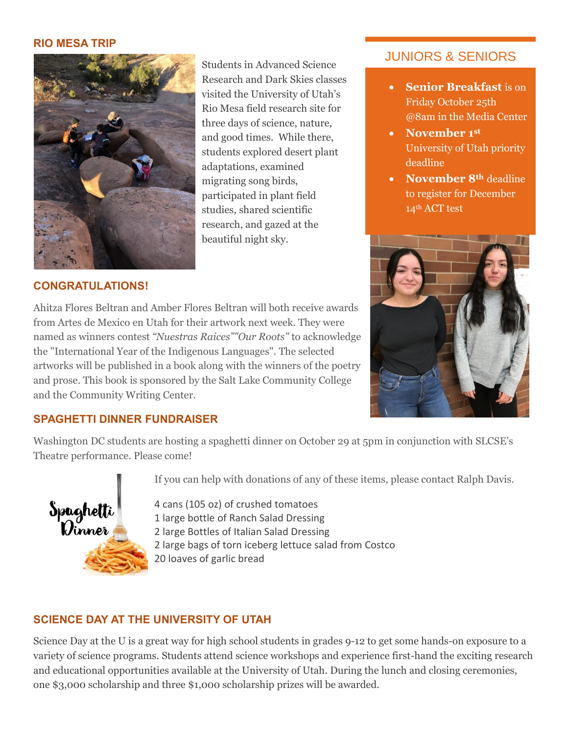#### **RIO MESA TRIP**



Students in Advanced Science Research and Dark Skies classes visited the University of Utah's Rio Mesa field research site for three days of science, nature, and good times. While there, students explored desert plant adaptations, examined migrating song birds, participated in plant field studies, shared scientific research, and gazed at the beautiful night sky.

## JUNIORS & SENIORS

- **Senior Breakfast** is on Friday October 25th @8am in the Media Center
- **November 1st** University of Utah priority deadline
- **November 8th** deadline to register for December 14th ACT test



#### **CONGRATULATIONS!**

Ahitza Flores Beltran and Amber Flores Beltran will both receive awards from Artes de Mexico en Utah for their artwork next week. They were named as winners contest *"Nuestras Raices""Our Roots"* to acknowledge the "International Year of the Indigenous Languages". The selected artworks will be published in a book along with the winners of the poetry and prose. This book is sponsored by the Salt Lake Community College and the Community Writing Center.

#### **SPAGHETTI DINNER FUNDRAISER**

Washington DC students are hosting a spaghetti dinner on October 29 at 5pm in conjunction with SLCSE's Theatre performance. Please come!



If you can help with donations of any of these items, please contact Ralph Davis.

4 cans (105 oz) of crushed tomatoes 1 large bottle of Ranch Salad Dressing 2 large Bottles of Italian Salad Dressing 2 large bags of torn iceberg lettuce salad from Costco 20 loaves of garlic bread

## **SCIENCE DAY AT THE UNIVERSITY OF UTAH**

Science Day at the U is a great way for high school students in grades 9-12 to get some hands-on exposure to a variety of science programs. Students attend science workshops and experience first-hand the exciting research and educational opportunities available at the University of Utah. During the lunch and closing ceremonies, one \$3,000 scholarship and three \$1,000 scholarship prizes will be awarded.